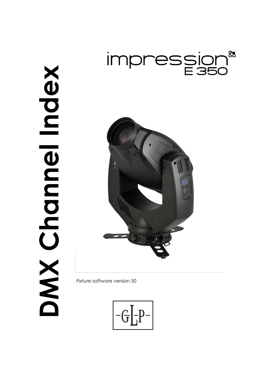



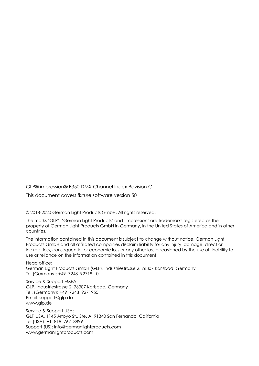GLP® impression® E350 DMX Channel Index Revision C

This document covers fixture software version 50

© 2018-2020 German Light Products GmbH. All rights reserved.

The marks 'GLP', 'German Light Products' and 'impression' are trademarks registered as the property of German Light Products GmbH in Germany, in the United States of America and in other countries.

The information contained in this document is subject to change without notice. German Light Products GmbH and all affiliated companies disclaim liability for any injury, damage, direct or indirect loss, consequential or economic loss or any other loss occasioned by the use of, inability to use or reliance on the information contained in this document.

Head office: German Light Products GmbH (GLP), Industriestrasse 2, 76307 Karlsbad, Germany Tel (Germany): +49 7248 92719 - 0

Service & Support EMEA: GLP, Industriestrasse 2, 76307 Karlsbad, Germany Tel. (Germany): +49 7248 9271955 Email: support@glp.de www.glp.de

Service & Support USA: GLP USA, 1145 Arroyo St., Ste. A, 91340 San Fernando, California Tel (USA): +1 818 767 8899 Support (US): info@germanlightproducts.com www.germanlightproducts.com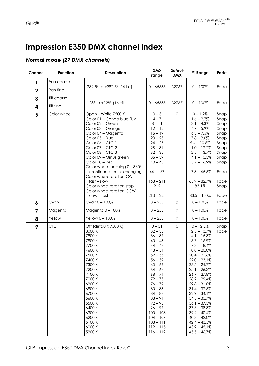## **impression E350 DMX channel index**

## *Normal mode (27 DMX channels)*

| Channel        | <b>Function</b> | <b>Description</b>                                                                                                                                                                                                                                                                                                                                                                                                                     | <b>DMX</b><br>range                                                                                                                                                                                                                                                                                              | Default<br><b>DMX</b> | % Range                                                                                                                                                                                                                                                                                                                                                                                                                             | Fade                                                                                                                 |
|----------------|-----------------|----------------------------------------------------------------------------------------------------------------------------------------------------------------------------------------------------------------------------------------------------------------------------------------------------------------------------------------------------------------------------------------------------------------------------------------|------------------------------------------------------------------------------------------------------------------------------------------------------------------------------------------------------------------------------------------------------------------------------------------------------------------|-----------------------|-------------------------------------------------------------------------------------------------------------------------------------------------------------------------------------------------------------------------------------------------------------------------------------------------------------------------------------------------------------------------------------------------------------------------------------|----------------------------------------------------------------------------------------------------------------------|
| 1              | Pan coarse      |                                                                                                                                                                                                                                                                                                                                                                                                                                        |                                                                                                                                                                                                                                                                                                                  |                       |                                                                                                                                                                                                                                                                                                                                                                                                                                     |                                                                                                                      |
| $\overline{2}$ | Pan fine        | $-282.5^{\circ}$ to $+282.5^{\circ}$ (16 bit)                                                                                                                                                                                                                                                                                                                                                                                          | $0 - 65535$                                                                                                                                                                                                                                                                                                      | 32767                 | $0 - 100\%$                                                                                                                                                                                                                                                                                                                                                                                                                         | Fade                                                                                                                 |
| 3              | Tilt coarse     |                                                                                                                                                                                                                                                                                                                                                                                                                                        |                                                                                                                                                                                                                                                                                                                  |                       |                                                                                                                                                                                                                                                                                                                                                                                                                                     |                                                                                                                      |
| 4              | Tilt fine       | $-128^{\circ}$ to $+128^{\circ}$ (16 bit)                                                                                                                                                                                                                                                                                                                                                                                              | $0 - 65535$                                                                                                                                                                                                                                                                                                      | 32767                 | $0 - 100\%$                                                                                                                                                                                                                                                                                                                                                                                                                         | Fade                                                                                                                 |
| 5              | Color wheel     | Open - White 7500 K<br>Color 01 - Congo blue (UV)<br>Color 02 - Green<br>Color 03 - Orange<br>Color 04 - Magenta<br>Color 05 - Blue<br>Color 06 - CTC 1<br>Color 07 - CTC 2<br>Color 08 - CTC 3<br>Color 09 - Minus green<br>Color 10 - Red<br>Color wheel indexing $0 - 360^\circ$<br>(continuous color changing)<br>Color wheel rotation CW<br>$fast - slow$<br>Color wheel rotation stop<br>Color wheel rotation CCW<br>slow - fast | $0 - 3$<br>$4 - 7$<br>$8 - 11$<br>$12 - 15$<br>$16 - 19$<br>$20 - 23$<br>$24 - 27$<br>$28 - 31$<br>$32 - 35$<br>$36 - 39$<br>$40 - 43$<br>$44 - 167$<br>$168 - 211$<br>212<br>$213 - 255$                                                                                                                        | $\mathbf 0$           | $0 - 1.2%$<br>$1.6 - 2.7%$<br>$3.1 - 4.3\%$<br>$4.7 - 5.9\%$<br>$6.3 - 7.5\%$<br>$7.8 - 9.0\%$<br>$9.4 - 10.6\%$<br>$11.0 - 12.2%$<br>$12.5 - 13.7%$<br>$14.1 - 15.3\%$<br>$15.7 - 16.9\%$<br>$17.3 - 65.5%$<br>$65.9 - 82.7\%$<br>83.1%<br>$83.5 - 100\%$                                                                                                                                                                          | Snap<br>Snap<br>Snap<br>Snap<br>Snap<br>Snap<br>Snap<br>Snap<br>Snap<br>Snap<br>Snap<br>Fade<br>Fade<br>Snap<br>Fade |
| 6              | Cyan            | Cyan 0 - 100%                                                                                                                                                                                                                                                                                                                                                                                                                          | $0 - 255$                                                                                                                                                                                                                                                                                                        | $\mathbf 0$           | $0 - 100\%$                                                                                                                                                                                                                                                                                                                                                                                                                         | Fade                                                                                                                 |
| $\overline{7}$ | Magenta         | Magenta 0-100%                                                                                                                                                                                                                                                                                                                                                                                                                         | $0 - 255$                                                                                                                                                                                                                                                                                                        | $\mathsf{O}\xspace$   | $0 - 100\%$                                                                                                                                                                                                                                                                                                                                                                                                                         | Fade                                                                                                                 |
| 8              | Yellow          | Yellow 0 - 100%                                                                                                                                                                                                                                                                                                                                                                                                                        | $0 - 255$                                                                                                                                                                                                                                                                                                        | $\mathbf 0$           | $0 - 100\%$                                                                                                                                                                                                                                                                                                                                                                                                                         | Fade                                                                                                                 |
| 9              | <b>CTC</b>      | Off (default: 7500 K)<br>8000 K<br>7900K<br>7800 K<br>7700 K<br>7600K<br>7500 K<br>7400K<br>7300 K<br>7200 K<br>7100K<br>7000 K<br>6900K<br>6800K<br>6700K<br>6600K<br>6500 K<br>6400K<br>6300K<br>6200 K<br>6100K<br>6000 K<br>5900 K                                                                                                                                                                                                 | $0 - 31$<br>$32 - 35$<br>$36 - 39$<br>$40 - 43$<br>$44 - 47$<br>$48 - 51$<br>$52 - 55$<br>$56 - 59$<br>$60 - 63$<br>$64 - 67$<br>$68 - 71$<br>$72 - 75$<br>$76 - 79$<br>$80 - 83$<br>$84 - 87$<br>$88 - 91$<br>$92 - 95$<br>$96 - 99$<br>$100 - 103$<br>$104 - 107$<br>$108 - 111$<br>$112 - 115$<br>$116 - 119$ | $\mathbf 0$           | $0 - 12.2%$<br>$12.5 - 13.7%$<br>$14.1 - 15.3\%$<br>$15.7 - 16.9%$<br>$17.3 - 18.4%$<br>$18.8 - 20.0\%$<br>$20.4 - 21.6%$<br>$22.0 - 23.1\%$<br>$23.5 - 24.7\%$<br>$25.1 - 26.3\%$<br>$26.7 - 27.8\%$<br>$28.2 - 29.4\%$<br>$29.8 - 31.0\%$<br>$31.4 - 32.5%$<br>$32.9 - 34.1\%$<br>$34.5 - 35.7%$<br>$36.1 - 37.3%$<br>$37.6 - 38.8\%$<br>$39.2 - 40.4%$<br>$40.8 - 42.0\%$<br>$42.4 - 43.5%$<br>$43.9 - 45.1\%$<br>$45.5 - 46.7%$ | Snap<br>Fade                                                                                                         |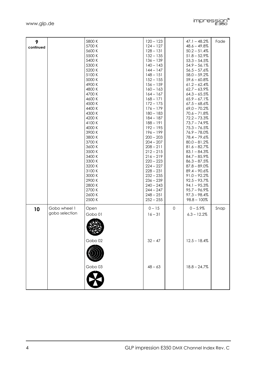| 9<br>continued |                                | 5800 K<br>5700 K<br>5600 K<br>5500 K<br>5400 K<br>5300 K<br>5200 K<br>5100 K<br>5000 K<br>4900 K<br>4800 K<br>4700 K<br>4600 K<br>4500 K<br>4400 K<br>4300 K<br>4200 K | $120 - 123$<br>$124 - 127$<br>$128 - 131$<br>$132 - 135$<br>$136 - 139$<br>$140 - 143$<br>$144 - 147$<br>$148 - 151$<br>$152 - 155$<br>$156 - 159$<br>$160 - 163$<br>$164 - 167$<br>$168 - 171$<br>$172 - 175$<br>$176 - 179$<br>$180 - 183$<br>$184 - 187$ |                     | $47.1 - 48.2%$<br>$48.6 - 49.8\%$<br>$50.2 - 51.4%$<br>$51.8 - 52.9%$<br>$53.3 - 54.5%$<br>$54.9 - 56.1%$<br>$56.5 - 57.6%$<br>$58.0 - 59.2%$<br>$59.6 - 60.8\%$<br>$61.2 - 62.4\%$<br>$62.7 - 63.9\%$<br>$64.3 - 65.5%$<br>$65.9 - 67.1%$<br>$67.5 - 68.6\%$<br>$69,0 - 70.2%$<br>$70.6 - 71.8\%$<br>$72.2 - 73.3%$ | Fade |
|----------------|--------------------------------|------------------------------------------------------------------------------------------------------------------------------------------------------------------------|-------------------------------------------------------------------------------------------------------------------------------------------------------------------------------------------------------------------------------------------------------------|---------------------|----------------------------------------------------------------------------------------------------------------------------------------------------------------------------------------------------------------------------------------------------------------------------------------------------------------------|------|
|                |                                | 4100K<br>4000 K<br>3900K<br>3800 K<br>3700 K<br>3600 K<br>3500 K<br>3400 K<br>3300 K<br>3200 K<br>3100K<br>3000 K<br>2900 K<br>2800 K<br>2700 K<br>2600 K<br>2500 K    | $188 - 191$<br>$192 - 195$<br>$196 - 199$<br>$200 - 203$<br>$204 - 207$<br>$208 - 211$<br>$212 - 215$<br>$216 - 219$<br>$220 - 223$<br>$224 - 227$<br>$228 - 231$<br>$232 - 235$<br>$236 - 239$<br>$240 - 243$<br>$244 - 247$<br>$248 - 251$<br>$252 - 255$ |                     | $73.7 - 74.9%$<br>$75.3 - 76.5%$<br>$76.9 - 78.0\%$<br>$78.4 - 79.6%$<br>$80.0 - 81.2%$<br>$81.6 - 82.7%$<br>$83.1 - 84.3\%$<br>$84.7 - 85.9%$<br>$86.3 - 87.5%$<br>$87.8 - 89.0\%$<br>$89.4 - 90.6%$<br>$91.0 - 92.2%$<br>$92.5 - 93.7%$<br>$94.1 - 95.3\%$<br>$95.7 - 96.9%$<br>$97.3 - 98.4%$<br>$98.8 - 100\%$   |      |
| 10             | Gobo wheel 1<br>gobo selection | Open<br>Gobo 01<br>Gobo 02<br>Gobo <sub>03</sub>                                                                                                                       | $0 - 15$<br>$16 - 31$<br>$32 - 47$<br>$48 - 63$                                                                                                                                                                                                             | $\mathsf{O}\xspace$ | $0 - 5.9%$<br>$6.3 - 12.2\%$<br>$12.5 - 18.4%$<br>$18.8 - 24.7%$                                                                                                                                                                                                                                                     | Snap |

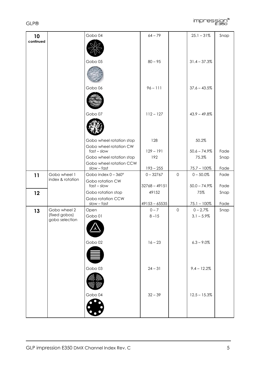

| 10        |                                 | Gobo 04                                   | $64 - 79$                  |             | $25.1 - 31\%$                  | Snap         |
|-----------|---------------------------------|-------------------------------------------|----------------------------|-------------|--------------------------------|--------------|
| continued |                                 |                                           |                            |             |                                |              |
|           |                                 |                                           |                            |             |                                |              |
|           |                                 |                                           |                            |             |                                |              |
|           |                                 | Gobo 05                                   | $80 - 95$                  |             | $31.4 - 37.3%$                 |              |
|           |                                 |                                           |                            |             |                                |              |
|           |                                 | Gobo 06                                   | $96 - 111$                 |             | $37.6 - 43.5%$                 |              |
|           |                                 |                                           |                            |             |                                |              |
|           |                                 | Gobo 07                                   | $112 - 127$                |             | $43.9 - 49.8\%$                |              |
|           |                                 |                                           |                            |             |                                |              |
|           |                                 | Gobo wheel rotation stop                  | 128                        |             | 50.2%                          |              |
|           |                                 | Gobo wheel rotation CW<br>$fast - slow$   | $129 - 191$                |             | $50.6 - 74.9\%$                | Fade         |
|           |                                 | Gobo wheel rotation stop                  | 192                        |             | 75.3%                          | Snap         |
|           |                                 | Gobo wheel rotation CCW                   |                            |             |                                |              |
| 11        | Gobo wheel 1                    | slow - fast<br>Gobo index $0 - 360^\circ$ | $193 - 255$<br>$0 - 32767$ | $\mathbf 0$ | $75.7 - 100\%$<br>$0 - 50.0\%$ | Fade<br>Fade |
|           | index & rotation                | Gobo rotation CW                          |                            |             |                                |              |
|           |                                 | $fast - slow$                             | $32768 - 49151$            |             | $50.0 - 74.9\%$                | Fade         |
| 12        |                                 | Gobo rotation stop                        | 49152                      |             | 75%                            | Snap         |
|           |                                 | Gobo rotation CCW<br>$slow - fast$        | $49153 - 65535$            |             | $75.1 - 100\%$                 | Fade         |
| 13        | Gobo wheel 2                    | Open                                      | $0 - 7$                    | $\mathbf 0$ | $0 - 2.7%$                     | Snap         |
|           | (fixed gobos)<br>gobo selection | Gobo 01                                   | $8 - 15$                   |             | $3.1 - 5.9\%$                  |              |
|           |                                 | ハ                                         |                            |             |                                |              |
|           |                                 | Gobo 02                                   | $16 - 23$                  |             | $6.3 - 9.0\%$                  |              |
|           |                                 |                                           |                            |             |                                |              |
|           |                                 |                                           |                            |             |                                |              |
|           |                                 | Gobo 03                                   | $24 - 31$                  |             | $9.4 - 12.2%$                  |              |
|           |                                 |                                           |                            |             |                                |              |
|           |                                 |                                           |                            |             |                                |              |
|           |                                 | Gobo 04                                   | $32 - 39$                  |             | $12.5 - 15.3%$                 |              |
|           |                                 |                                           |                            |             |                                |              |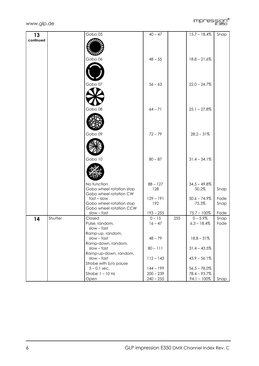



| 13        |         | Gobo $05$                              | $40 - 47$         |     | $15.7 - 18.4%$           | Snap |
|-----------|---------|----------------------------------------|-------------------|-----|--------------------------|------|
| continued |         | WЦ                                     |                   |     |                          |      |
|           |         |                                        |                   |     |                          |      |
|           |         |                                        |                   |     |                          |      |
|           |         | Gobo 06                                | $48 - 55$         |     | $18.8 - 21.6%$           |      |
|           |         |                                        |                   |     |                          |      |
|           |         |                                        |                   |     |                          |      |
|           |         |                                        |                   |     |                          |      |
|           |         | Gobo 07                                | $56 - 63$         |     | $22.0 - 24.7\%$          |      |
|           |         |                                        |                   |     |                          |      |
|           |         |                                        |                   |     |                          |      |
|           |         |                                        |                   |     |                          |      |
|           |         |                                        |                   |     |                          |      |
|           |         | Gobo 08                                | $64 - 71$         |     | $25.1 - 27.8\%$          |      |
|           |         |                                        |                   |     |                          |      |
|           |         |                                        |                   |     |                          |      |
|           |         |                                        |                   |     |                          |      |
|           |         | Gobo 09                                | $72 - 79$         |     | $28.2 - 31\%$            |      |
|           |         |                                        |                   |     |                          |      |
|           |         |                                        |                   |     |                          |      |
|           |         |                                        |                   |     |                          |      |
|           |         | Gobo 10                                | $80 - 87$         |     | $31.4 - 34.1%$           |      |
|           |         |                                        |                   |     |                          |      |
|           |         |                                        |                   |     |                          |      |
|           |         |                                        |                   |     |                          |      |
|           |         | No function                            |                   |     |                          |      |
|           |         | Gobo wheel rotation stop               | $88 - 127$<br>128 |     | $34.5 - 49.8\%$<br>50.2% | Snap |
|           |         | Gobo wheel rotation CW                 |                   |     |                          |      |
|           |         | $fast - slow$                          | $129 - 191$       |     | $50.6 - 74.9%$           | Fade |
|           |         | Gobo wheel rotation stop               | 192               |     | 75.3%                    | Snap |
|           |         | Gobo wheel rotation CCW<br>slow - fast | $193 - 255$       |     | $75.7 - 100\%$           | Fade |
| 14        | Shutter | Closed                                 | $0 - 15$          | 255 | $0 - 5.9%$               | Snap |
|           |         | Pulse, random,                         | $16 - 47$         |     | $6.3 - 18.4\%$           | Fade |
|           |         | $slow - fast$                          |                   |     |                          |      |
|           |         | Ramp-up, random,                       |                   |     |                          |      |
|           |         | $slow - fast$                          | $48 - 79$         |     | $18.8 - 31\%$            |      |
|           |         | Ramp-down, random,<br>$slow - fast$    | $80 - 111$        |     | $31.4 - 43.5%$           |      |
|           |         | Ramp-up-down, random,                  |                   |     |                          |      |
|           |         | $slow - fast$                          | $112 - 143$       |     | $43.9 - 56.1\%$          |      |
|           |         | Strobe with b/o pause                  |                   |     |                          |      |
|           |         | $5 - 0.1$ sec.                         | $144 - 199$       |     | $56.5 - 78.0\%$          |      |
|           |         | Strobe $1 - 10$ Hz                     | $200 - 239$       |     | $78.4 - 93.7%$           |      |
|           |         | Open                                   | $240 - 255$       |     | $94.1 - 100\%$           | Snap |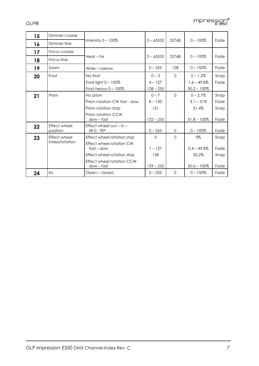

| 15 | Dimmer coarse                   |                                                                                                                                                     |                                             |          |                                                       |                              |
|----|---------------------------------|-----------------------------------------------------------------------------------------------------------------------------------------------------|---------------------------------------------|----------|-------------------------------------------------------|------------------------------|
| 16 | Dimmer fine                     | Intensity $0 - 100\%$                                                                                                                               | $0 - 65535$                                 | 32768    | $0 - 100\%$                                           | Fade                         |
| 17 | Focus coarse                    |                                                                                                                                                     |                                             |          |                                                       |                              |
| 18 | Focus fine                      | $Near - far$                                                                                                                                        | $0 - 65535$                                 | 32768    | $0 - 100\%$                                           | Fade                         |
| 19 | Zoom                            | Wide - narrow                                                                                                                                       | $0 - 255$                                   | 128      | $0 - 100\%$                                           | Fade                         |
| 20 | Frost                           | No frost<br>Frost light $0 - 100\%$<br>Frost heavy $0 - 100\%$                                                                                      | $0 - 3$<br>$4 - 127$<br>$128 - 255$         | $\Omega$ | $0 - 1.2%$<br>$1.6 - 49.8\%$<br>$50.2 - 100\%$        | Snap<br>Fade                 |
| 21 | Prism                           | No prism<br>Prism rotation CW fast - slow<br>Prism rotation stop<br>Prism rotation CCW<br>$slow - fast$                                             | $0 - 7$<br>$8 - 130$<br>131<br>$132 - 255$  | $\Omega$ | $0 - 2.7%$<br>$3.1 - 51\%$<br>51.4%<br>$51.8 - 100\%$ | Snap<br>Fade<br>Snap<br>Fade |
| 22 | <b>Effect wheel</b><br>position | Effect wheel out $-$ in $-$<br>$tilt$ 0 - $90^\circ$                                                                                                | $0 - 255$                                   | $\Omega$ | $0 - 100\%$                                           | Fade                         |
| 23 | Effect wheel<br>index/rotation  | Effect wheel rotation stop<br>Effect wheel rotation CW<br>$fast - slow$<br>Effect wheel rotation stop<br>Effect wheel rotation CCW<br>$slow - fast$ | $\Omega$<br>$1 - 127$<br>128<br>$129 - 255$ | $\Omega$ | 0%<br>$0.4 - 49.8\%$<br>50.2%<br>$50.6 - 100\%$       | Snap<br>Fade<br>Snap<br>Fade |
| 24 | <b>Iris</b>                     | Open – closed                                                                                                                                       | $0 - 255$                                   | $\Omega$ | $0 - 100\%$                                           | Fade                         |

GLP®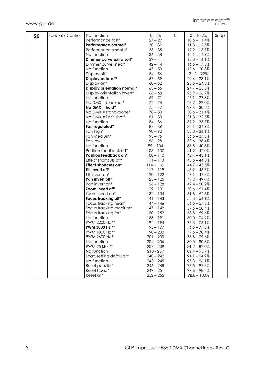

| 25 | Special / Control | No function                    | $0 - 26$    | $\mathbf 0$ | $0 - 10.2%$     | Snap |
|----|-------------------|--------------------------------|-------------|-------------|-----------------|------|
|    |                   | Performance fast*              | $27 - 29$   |             | $10.6 - 11.4\%$ |      |
|    |                   | Performance normal*            | $30 - 32$   |             | $11.8 - 12.5%$  |      |
|    |                   | Performance smooth*            | $33 - 35$   |             | $12.9 - 13.7\%$ |      |
|    |                   | No function                    | $36 - 38$   |             | $14.1 - 14.9\%$ |      |
|    |                   | Dimmer curve extra soft*       | $39 - 41$   |             | $15.3 - 16.1\%$ |      |
|    |                   | Dimmer curve linear*           | $42 - 44$   |             | $16.5 - 17.3%$  |      |
|    |                   | No function                    | $45 - 53$   |             | $17.6 - 20.8\%$ |      |
|    |                   | Display off*                   | $54 - 56$   |             | $21.2 - 22\%$   |      |
|    |                   | Display auto-off*              | $57 - 59$   |             | $22.4 - 23.1\%$ |      |
|    |                   | Display on*                    | $60 - 62$   |             | $23.5 - 24.3\%$ |      |
|    |                   | Display orientation normal*    | $63 - 65$   |             | $24.7 - 25.5%$  |      |
|    |                   | Display orientation invert*    | $66 - 68$   |             | $25.9 - 26.7\%$ |      |
|    |                   | No function                    | $69 - 71$   |             | $27.1 - 27.8\%$ |      |
|    |                   | No $DMX = blackout*$           | $72 - 74$   |             | $28.2 - 29.0\%$ |      |
|    |                   | No $DMX = hold*$               | $75 - 77$   |             | $29.4 - 30.2%$  |      |
|    |                   | No $DMX = stand\text{-}alone*$ | $78 - 80$   |             | $30.6 - 31.4%$  |      |
|    |                   | No $DMX = DMX$ shot*           | $81 - 83$   |             | $31.8 - 32.5%$  |      |
|    |                   | No function                    | $84 - 86$   |             | $32.9 - 33.7\%$ |      |
|    |                   | Fan regulated*                 | $87 - 89$   |             | $34.1 - 34.9\%$ |      |
|    |                   | Fan high*                      | $90 - 92$   |             | $35.3 - 36.1\%$ |      |
|    |                   | Fan medium*                    | $93 - 95$   |             | $36.5 - 37.3%$  |      |
|    |                   | Fan low*                       | $96 - 98$   |             | $37.6 - 38.4%$  |      |
|    |                   | No function                    | $99 - 104$  |             | $38.8 - 40.8\%$ |      |
|    |                   | Position feedback off*         | $105 - 107$ |             | $41.2 - 42.0\%$ |      |
|    |                   | Position feedback on*          | $108 - 110$ |             | $42.4 - 43.1%$  |      |
|    |                   | Effect shortcuts off*          | $111 - 113$ |             | $43.5 - 44.3\%$ |      |
|    |                   | Effect shortcuts on*           | $114 - 116$ |             | $44.7 - 45.5%$  |      |
|    |                   | Tilt invert off*               | $117 - 119$ |             | $45.9 - 46.7%$  |      |
|    |                   | Tilt invert on*                | $120 - 122$ |             | $47.1 - 47.8\%$ |      |
|    |                   | Pan invert off*                | $123 - 125$ |             | $48.2 - 49.0\%$ |      |
|    |                   | Pan invert on*                 | $126 - 128$ |             | $49.4 - 50.2%$  |      |
|    |                   | Zoom invert off*               | $129 - 131$ |             | $50.6 - 51.4%$  |      |
|    |                   | Zoom invert on*                | $132 - 134$ |             | $51.8 - 52.5%$  |      |
|    |                   | Focus tracking off*            | $141 - 143$ |             | $55.3 - 56.1\%$ |      |
|    |                   | Focus tracking near*           | $144 - 146$ |             | $56.5 - 57.3%$  |      |
|    |                   | Focus tracking medium*         | $147 - 149$ |             | $57.6 - 58.4%$  |      |
|    |                   | Focus tracking far*            | $150 - 152$ |             | $58.8 - 59.6%$  |      |
|    |                   | No function                    | $153 - 191$ |             | $60.0 - 74.9\%$ |      |
|    |                   | PWM 2200 Hz **                 | $192 - 194$ |             | $75.3 - 76.1%$  |      |
|    |                   | PWM 3000 Hz **                 | 195 – 197   |             | $76.5 - 77.3\%$ |      |
|    |                   | PWM 4800 Hz **                 | $198 - 200$ |             | $77.6 - 78.4\%$ |      |
|    |                   | PWM 9600 Hz **                 | $201 - 203$ |             | $78.8 - 79.6%$  |      |
|    |                   | No function                    | $204 - 206$ |             | $80.0 - 80.8\%$ |      |
|    |                   | PWM 25 kHz **                  | $207 - 209$ |             | $81.2 - 82.0\%$ |      |
|    |                   | No function                    | 210 - 239   |             | $82.4 - 93.7\%$ |      |
|    |                   | Load setting defaults**        | $240 - 242$ |             | $94.1 - 94.9\%$ |      |
|    |                   | No function                    | $243 - 245$ |             | $95.3 - 96.1\%$ |      |
|    |                   | Reset pan/tilt *               | $246 - 248$ |             | $96.5 - 97.3\%$ |      |
|    |                   | Reset head*                    | $249 - 251$ |             | $97.6 - 98.4%$  |      |
|    |                   | Reset all*                     | $252 - 255$ |             | $98.8 - 100\%$  |      |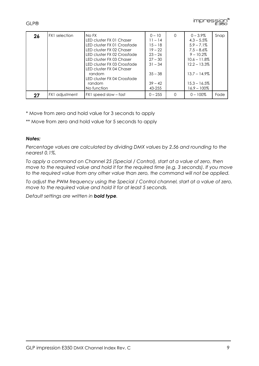

| 26 | <b>FX1</b> selection | No FX<br>LED cluster FX 01 Chaser<br>LED cluster FX 01 Crossfade<br>LED cluster FX 02 Chaser<br>LED cluster FX 02 Crossfade<br>LED cluster FX 03 Chaser<br>LED cluster FX 03 Crossfade<br>LED cluster FX 04 Chaser<br>random<br>LED cluster FX 04 Crossfade<br>random<br>No function | $0 - 10$<br>$11 - 14$<br>$15 - 18$<br>$19 - 22$<br>$23 - 26$<br>$27 - 30$<br>$31 - 34$<br>$35 - 38$<br>$39 - 42$<br>43-255 | $\Omega$ | $0 - 3.9\%$<br>$4.3 - 5.5\%$<br>$5.9 - 7.1\%$<br>$7.5 - 8.6\%$<br>$9 - 10.2\%$<br>$10.6 - 11.8\%$<br>$12.2 - 13.3\%$<br>$13.7 - 14.9\%$<br>$15.3 - 16.5\%$<br>16.9 – 100% | Snap |
|----|----------------------|--------------------------------------------------------------------------------------------------------------------------------------------------------------------------------------------------------------------------------------------------------------------------------------|----------------------------------------------------------------------------------------------------------------------------|----------|---------------------------------------------------------------------------------------------------------------------------------------------------------------------------|------|
| 27 | FX1 adjustment       | FX1 speed slow – fast                                                                                                                                                                                                                                                                | $0 - 255$                                                                                                                  | $\Omega$ | $0 - 100\%$                                                                                                                                                               | Fade |

\* Move from zero and hold value for 3 seconds to apply

\*\* Move from zero and hold value for 5 seconds to apply

## *Notes:*

*Percentage values are calculated by dividing DMX values by 2.56 and rounding to the nearest 0.1%.* 

*To apply a command on Channel 25 (Special / Control), start at a value of zero, then move to the required value and hold it for the required time (e.g. 3 seconds). If you move to the required value from any other value than zero, the command will not be applied.* 

*To adjust the PWM frequency using the Special / Control channel, start at a value of zero, move to the required value and hold it for at least 5 seconds.* 

*Default settings are written in bold type.*